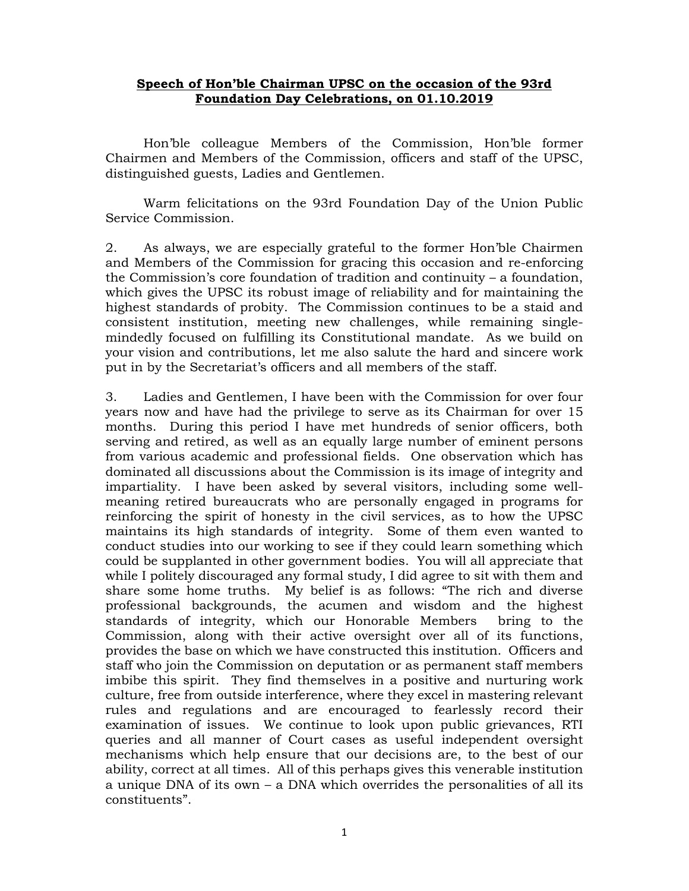## **Speech of Hon'ble Chairman UPSC on the occasion of the 93rd Foundation Day Celebrations, on 01.10.2019**

Hon'ble colleague Members of the Commission, Hon'ble former Chairmen and Members of the Commission, officers and staff of the UPSC, distinguished guests, Ladies and Gentlemen.

Warm felicitations on the 93rd Foundation Day of the Union Public Service Commission.

2. As always, we are especially grateful to the former Hon'ble Chairmen and Members of the Commission for gracing this occasion and re-enforcing the Commission's core foundation of tradition and continuity – a foundation, which gives the UPSC its robust image of reliability and for maintaining the highest standards of probity. The Commission continues to be a staid and consistent institution, meeting new challenges, while remaining singlemindedly focused on fulfilling its Constitutional mandate. As we build on your vision and contributions, let me also salute the hard and sincere work put in by the Secretariat's officers and all members of the staff.

3. Ladies and Gentlemen, I have been with the Commission for over four years now and have had the privilege to serve as its Chairman for over 15 months. During this period I have met hundreds of senior officers, both serving and retired, as well as an equally large number of eminent persons from various academic and professional fields. One observation which has dominated all discussions about the Commission is its image of integrity and impartiality. I have been asked by several visitors, including some wellmeaning retired bureaucrats who are personally engaged in programs for reinforcing the spirit of honesty in the civil services, as to how the UPSC maintains its high standards of integrity. Some of them even wanted to conduct studies into our working to see if they could learn something which could be supplanted in other government bodies. You will all appreciate that while I politely discouraged any formal study, I did agree to sit with them and share some home truths. My belief is as follows: "The rich and diverse professional backgrounds, the acumen and wisdom and the highest standards of integrity, which our Honorable Members bring to the Commission, along with their active oversight over all of its functions, provides the base on which we have constructed this institution. Officers and staff who join the Commission on deputation or as permanent staff members imbibe this spirit. They find themselves in a positive and nurturing work culture, free from outside interference, where they excel in mastering relevant rules and regulations and are encouraged to fearlessly record their examination of issues. We continue to look upon public grievances, RTI queries and all manner of Court cases as useful independent oversight mechanisms which help ensure that our decisions are, to the best of our ability, correct at all times. All of this perhaps gives this venerable institution a unique DNA of its own – a DNA which overrides the personalities of all its constituents".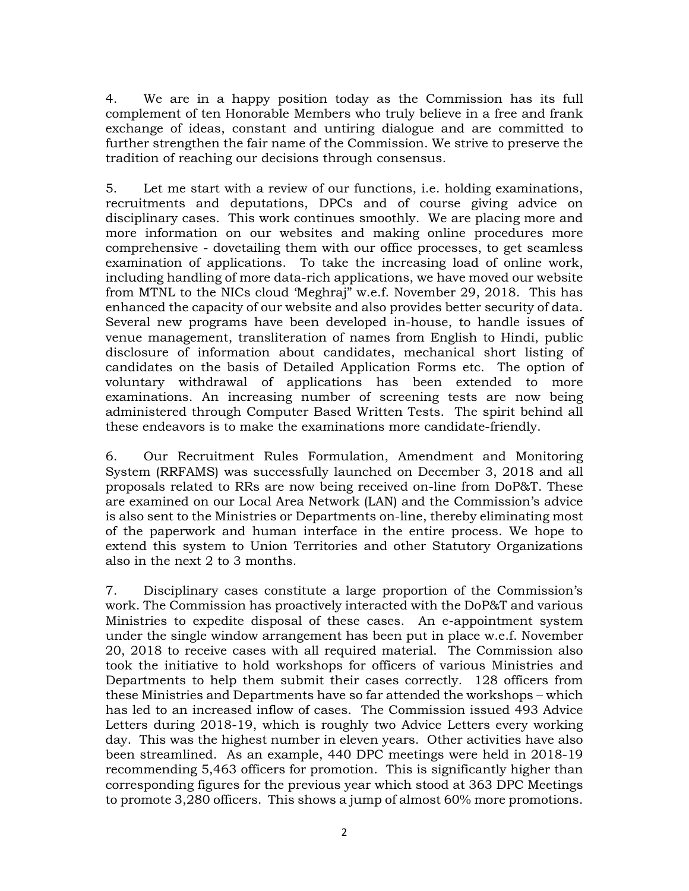4. We are in a happy position today as the Commission has its full complement of ten Honorable Members who truly believe in a free and frank exchange of ideas, constant and untiring dialogue and are committed to further strengthen the fair name of the Commission. We strive to preserve the tradition of reaching our decisions through consensus.

5. Let me start with a review of our functions, i.e. holding examinations, recruitments and deputations, DPCs and of course giving advice on disciplinary cases. This work continues smoothly. We are placing more and more information on our websites and making online procedures more comprehensive - dovetailing them with our office processes, to get seamless examination of applications. To take the increasing load of online work, including handling of more data-rich applications, we have moved our website from MTNL to the NICs cloud 'Meghraj" w.e.f. November 29, 2018. This has enhanced the capacity of our website and also provides better security of data. Several new programs have been developed in-house, to handle issues of venue management, transliteration of names from English to Hindi, public disclosure of information about candidates, mechanical short listing of candidates on the basis of Detailed Application Forms etc. The option of voluntary withdrawal of applications has been extended to more examinations. An increasing number of screening tests are now being administered through Computer Based Written Tests. The spirit behind all these endeavors is to make the examinations more candidate-friendly.

6. Our Recruitment Rules Formulation, Amendment and Monitoring System (RRFAMS) was successfully launched on December 3, 2018 and all proposals related to RRs are now being received on-line from DoP&T. These are examined on our Local Area Network (LAN) and the Commission's advice is also sent to the Ministries or Departments on-line, thereby eliminating most of the paperwork and human interface in the entire process. We hope to extend this system to Union Territories and other Statutory Organizations also in the next 2 to 3 months.

7. Disciplinary cases constitute a large proportion of the Commission's work. The Commission has proactively interacted with the DoP&T and various Ministries to expedite disposal of these cases. An e-appointment system under the single window arrangement has been put in place w.e.f. November 20, 2018 to receive cases with all required material. The Commission also took the initiative to hold workshops for officers of various Ministries and Departments to help them submit their cases correctly. 128 officers from these Ministries and Departments have so far attended the workshops – which has led to an increased inflow of cases. The Commission issued 493 Advice Letters during 2018-19, which is roughly two Advice Letters every working day. This was the highest number in eleven years. Other activities have also been streamlined. As an example, 440 DPC meetings were held in 2018-19 recommending 5,463 officers for promotion. This is significantly higher than corresponding figures for the previous year which stood at 363 DPC Meetings to promote 3,280 officers. This shows a jump of almost 60% more promotions.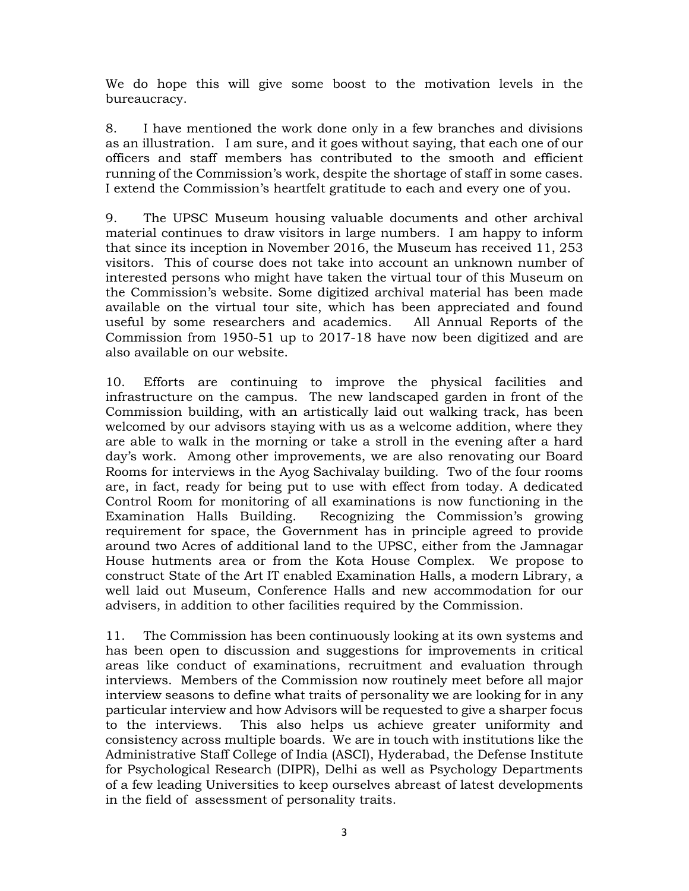We do hope this will give some boost to the motivation levels in the bureaucracy.

8. I have mentioned the work done only in a few branches and divisions as an illustration. I am sure, and it goes without saying, that each one of our officers and staff members has contributed to the smooth and efficient running of the Commission's work, despite the shortage of staff in some cases. I extend the Commission's heartfelt gratitude to each and every one of you.

9. The UPSC Museum housing valuable documents and other archival material continues to draw visitors in large numbers. I am happy to inform that since its inception in November 2016, the Museum has received 11, 253 visitors. This of course does not take into account an unknown number of interested persons who might have taken the virtual tour of this Museum on the Commission's website. Some digitized archival material has been made available on the virtual tour site, which has been appreciated and found useful by some researchers and academics. All Annual Reports of the Commission from 1950-51 up to 2017-18 have now been digitized and are also available on our website.

10. Efforts are continuing to improve the physical facilities and infrastructure on the campus. The new landscaped garden in front of the Commission building, with an artistically laid out walking track, has been welcomed by our advisors staying with us as a welcome addition, where they are able to walk in the morning or take a stroll in the evening after a hard day's work. Among other improvements, we are also renovating our Board Rooms for interviews in the Ayog Sachivalay building. Two of the four rooms are, in fact, ready for being put to use with effect from today. A dedicated Control Room for monitoring of all examinations is now functioning in the Examination Halls Building. Recognizing the Commission's growing requirement for space, the Government has in principle agreed to provide around two Acres of additional land to the UPSC, either from the Jamnagar House hutments area or from the Kota House Complex. We propose to construct State of the Art IT enabled Examination Halls, a modern Library, a well laid out Museum, Conference Halls and new accommodation for our advisers, in addition to other facilities required by the Commission.

11. The Commission has been continuously looking at its own systems and has been open to discussion and suggestions for improvements in critical areas like conduct of examinations, recruitment and evaluation through interviews. Members of the Commission now routinely meet before all major interview seasons to define what traits of personality we are looking for in any particular interview and how Advisors will be requested to give a sharper focus to the interviews. This also helps us achieve greater uniformity and consistency across multiple boards. We are in touch with institutions like the Administrative Staff College of India (ASCI), Hyderabad, the Defense Institute for Psychological Research (DIPR), Delhi as well as Psychology Departments of a few leading Universities to keep ourselves abreast of latest developments in the field of assessment of personality traits.